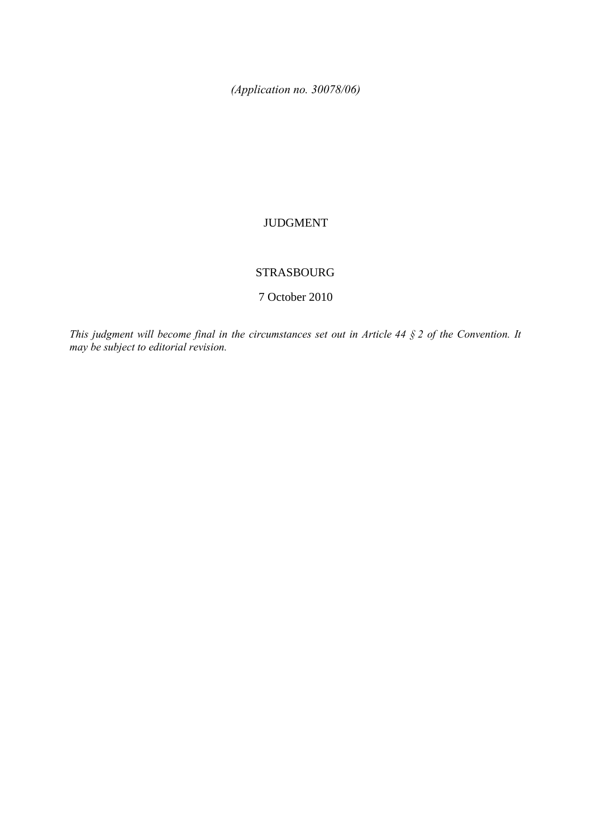*(Application no. 30078/06)*

## JUDGMENT

## STRASBOURG

7 October 2010

*This judgment will become final in the circumstances set out in Article 44 § 2 of the Convention. It may be subject to editorial revision.*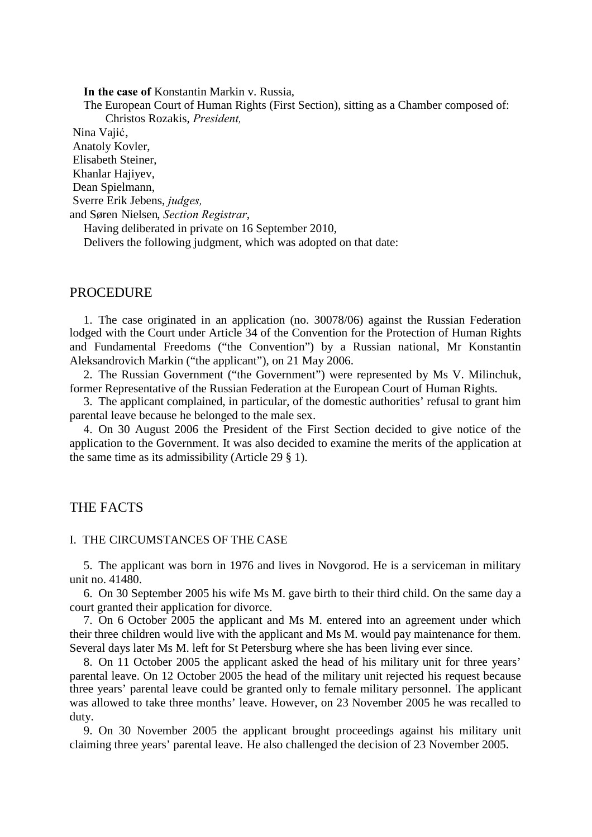**In the case of** Konstantin Markin v. Russia,

The European Court of Human Rights (First Section), sitting as a Chamber composed of: Christos Rozakis, *President,*

Nina Vajić, Anatoly Kovler, Elisabeth Steiner, Khanlar Hajiyev, Dean Spielmann, Sverre Erik Jebens, *judges,* and Søren Nielsen, *Section Registrar*, Having deliberated in private on 16 September 2010,

Delivers the following judgment, which was adopted on that date:

## PROCEDURE

1. The case originated in an application (no. 30078/06) against the Russian Federation lodged with the Court under Article 34 of the Convention for the Protection of Human Rights and Fundamental Freedoms ("the Convention") by a Russian national, Mr Konstantin Aleksandrovich Markin ("the applicant"), on 21 May 2006.

2. The Russian Government ("the Government") were represented by Ms V. Milinchuk, former Representative of the Russian Federation at the European Court of Human Rights.

3. The applicant complained, in particular, of the domestic authorities' refusal to grant him parental leave because he belonged to the male sex.

4. On 30 August 2006 the President of the First Section decided to give notice of the application to the Government. It was also decided to examine the merits of the application at the same time as its admissibility (Article 29 § 1).

## THE FACTS

### I. THE CIRCUMSTANCES OF THE CASE

5. The applicant was born in 1976 and lives in Novgorod. He is a serviceman in military unit no. 41480.

6. On 30 September 2005 his wife Ms M. gave birth to their third child. On the same day a court granted their application for divorce.

7. On 6 October 2005 the applicant and Ms M. entered into an agreement under which their three children would live with the applicant and Ms M. would pay maintenance for them. Several days later Ms M. left for St Petersburg where she has been living ever since.

8. On 11 October 2005 the applicant asked the head of his military unit for three years' parental leave. On 12 October 2005 the head of the military unit rejected his request because three years' parental leave could be granted only to female military personnel. The applicant was allowed to take three months' leave. However, on 23 November 2005 he was recalled to duty.

9. On 30 November 2005 the applicant brought proceedings against his military unit claiming three years' parental leave. He also challenged the decision of 23 November 2005.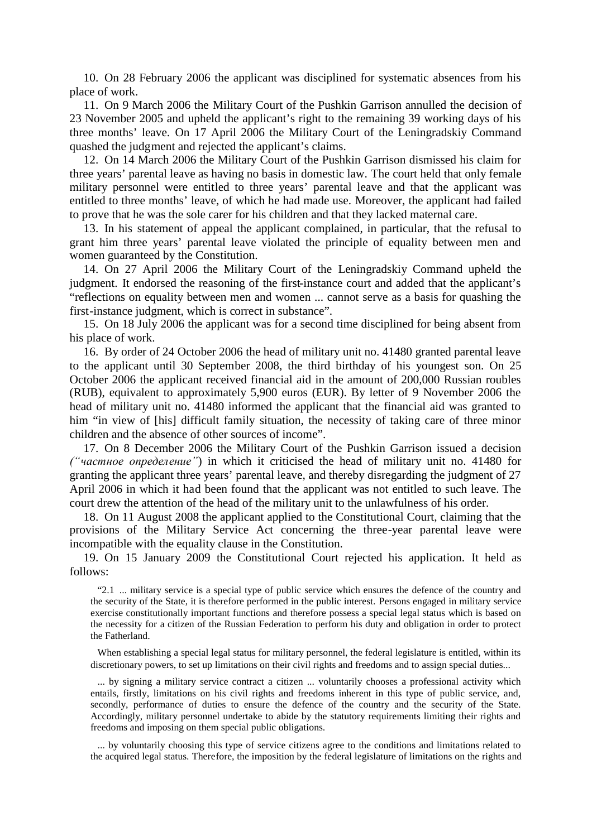10. On 28 February 2006 the applicant was disciplined for systematic absences from his place of work.

11. On 9 March 2006 the Military Court of the Pushkin Garrison annulled the decision of 23 November 2005 and upheld the applicant's right to the remaining 39 working days of his three months' leave. On 17 April 2006 the Military Court of the Leningradskiy Command quashed the judgment and rejected the applicant's claims.

12. On 14 March 2006 the Military Court of the Pushkin Garrison dismissed his claim for three years' parental leave as having no basis in domestic law. The court held that only female military personnel were entitled to three years' parental leave and that the applicant was entitled to three months' leave, of which he had made use. Moreover, the applicant had failed to prove that he was the sole carer for his children and that they lacked maternal care.

13. In his statement of appeal the applicant complained, in particular, that the refusal to grant him three years' parental leave violated the principle of equality between men and women guaranteed by the Constitution.

14. On 27 April 2006 the Military Court of the Leningradskiy Command upheld the judgment. It endorsed the reasoning of the first-instance court and added that the applicant's "reflections on equality between men and women ... cannot serve as a basis for quashing the first-instance judgment, which is correct in substance".

15. On 18 July 2006 the applicant was for a second time disciplined for being absent from his place of work.

16. By order of 24 October 2006 the head of military unit no. 41480 granted parental leave to the applicant until 30 September 2008, the third birthday of his youngest son. On 25 October 2006 the applicant received financial aid in the amount of 200,000 Russian roubles (RUB), equivalent to approximately 5,900 euros (EUR). By letter of 9 November 2006 the head of military unit no. 41480 informed the applicant that the financial aid was granted to him "in view of [his] difficult family situation, the necessity of taking care of three minor children and the absence of other sources of income".

17. On 8 December 2006 the Military Court of the Pushkin Garrison issued a decision ("частное определение") in which it criticised the head of military unit no. 41480 for granting the applicant three years' parental leave, and thereby disregarding the judgment of 27 April 2006 in which it had been found that the applicant was not entitled to such leave. The court drew the attention of the head of the military unit to the unlawfulness of his order.

18. On 11 August 2008 the applicant applied to the Constitutional Court, claiming that the provisions of the Military Service Act concerning the three-year parental leave were incompatible with the equality clause in the Constitution.

19. On 15 January 2009 the Constitutional Court rejected his application. It held as follows:

"2.1 ... military service is a special type of public service which ensures the defence of the country and the security of the State, it is therefore performed in the public interest. Persons engaged in military service exercise constitutionally important functions and therefore possess a special legal status which is based on the necessity for a citizen of the Russian Federation to perform his duty and obligation in order to protect the Fatherland.

When establishing a special legal status for military personnel, the federal legislature is entitled, within its discretionary powers, to set up limitations on their civil rights and freedoms and to assign special duties...

... by signing a military service contract a citizen ... voluntarily chooses a professional activity which entails, firstly, limitations on his civil rights and freedoms inherent in this type of public service, and, secondly, performance of duties to ensure the defence of the country and the security of the State. Accordingly, military personnel undertake to abide by the statutory requirements limiting their rights and freedoms and imposing on them special public obligations.

... by voluntarily choosing this type of service citizens agree to the conditions and limitations related to the acquired legal status. Therefore, the imposition by the federal legislature of limitations on the rights and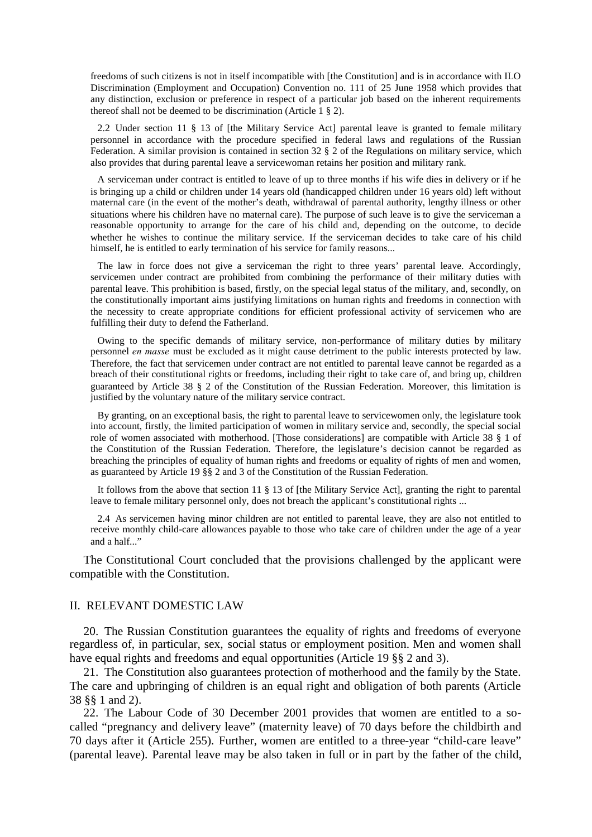freedoms of such citizens is not in itself incompatible with [the Constitution] and is in accordance with ILO Discrimination (Employment and Occupation) Convention no. 111 of 25 June 1958 which provides that any distinction, exclusion or preference in respect of a particular job based on the inherent requirements thereof shall not be deemed to be discrimination (Article 1 § 2).

2.2 Under section 11 § 13 of [the Military Service Act] parental leave is granted to female military personnel in accordance with the procedure specified in federal laws and regulations of the Russian Federation. A similar provision is contained in section 32 § 2 of the Regulations on military service, which also provides that during parental leave a servicewoman retains her position and military rank.

A serviceman under contract is entitled to leave of up to three months if his wife dies in delivery or if he is bringing up a child or children under 14 years old (handicapped children under 16 years old) left without maternal care (in the event of the mother's death, withdrawal of parental authority, lengthy illness or other situations where his children have no maternal care). The purpose of such leave is to give the serviceman a reasonable opportunity to arrange for the care of his child and, depending on the outcome, to decide whether he wishes to continue the military service. If the serviceman decides to take care of his child himself, he is entitled to early termination of his service for family reasons...

The law in force does not give a serviceman the right to three years' parental leave. Accordingly, servicemen under contract are prohibited from combining the performance of their military duties with parental leave. This prohibition is based, firstly, on the special legal status of the military, and, secondly, on the constitutionally important aims justifying limitations on human rights and freedoms in connection with the necessity to create appropriate conditions for efficient professional activity of servicemen who are fulfilling their duty to defend the Fatherland.

Owing to the specific demands of military service, non-performance of military duties by military personnel *en masse* must be excluded as it might cause detriment to the public interests protected by law. Therefore, the fact that servicemen under contract are not entitled to parental leave cannot be regarded as a breach of their constitutional rights or freedoms, including their right to take care of, and bring up, children guaranteed by Article 38 § 2 of the Constitution of the Russian Federation. Moreover, this limitation is justified by the voluntary nature of the military service contract.

By granting, on an exceptional basis, the right to parental leave to servicewomen only, the legislature took into account, firstly, the limited participation of women in military service and, secondly, the special social role of women associated with motherhood. [Those considerations] are compatible with Article 38 § 1 of the Constitution of the Russian Federation. Therefore, the legislature's decision cannot be regarded as breaching the principles of equality of human rights and freedoms or equality of rights of men and women, as guaranteed by Article 19 §§ 2 and 3 of the Constitution of the Russian Federation.

It follows from the above that section 11 § 13 of [the Military Service Act], granting the right to parental leave to female military personnel only, does not breach the applicant's constitutional rights ...

2.4 As servicemen having minor children are not entitled to parental leave, they are also not entitled to receive monthly child-care allowances payable to those who take care of children under the age of a year and a half..."

The Constitutional Court concluded that the provisions challenged by the applicant were compatible with the Constitution.

### II. RELEVANT DOMESTIC LAW

20. The Russian Constitution guarantees the equality of rights and freedoms of everyone regardless of, in particular, sex, social status or employment position. Men and women shall have equal rights and freedoms and equal opportunities (Article 19 §§ 2 and 3).

21. The Constitution also guarantees protection of motherhood and the family by the State. The care and upbringing of children is an equal right and obligation of both parents (Article 38 §§ 1 and 2).

22. The Labour Code of 30 December 2001 provides that women are entitled to a socalled "pregnancy and delivery leave" (maternity leave) of 70 days before the childbirth and 70 days after it (Article 255). Further, women are entitled to a three-year "child-care leave" (parental leave). Parental leave may be also taken in full or in part by the father of the child,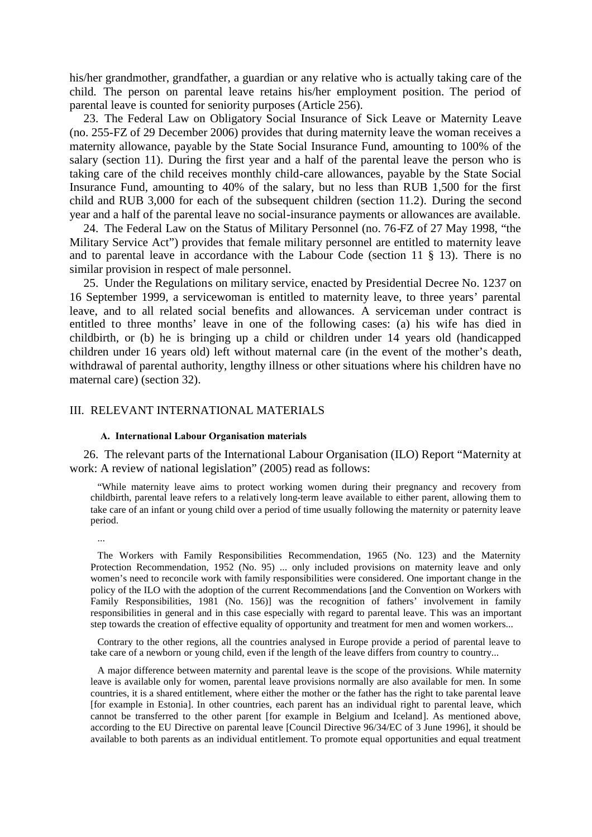his/her grandmother, grandfather, a guardian or any relative who is actually taking care of the child. The person on parental leave retains his/her employment position. The period of parental leave is counted for seniority purposes (Article 256).

23. The Federal Law on Obligatory Social Insurance of Sick Leave or Maternity Leave (no. 255-FZ of 29 December 2006) provides that during maternity leave the woman receives a maternity allowance, payable by the State Social Insurance Fund, amounting to 100% of the salary (section 11). During the first year and a half of the parental leave the person who is taking care of the child receives monthly child-care allowances, payable by the State Social Insurance Fund, amounting to 40% of the salary, but no less than RUB 1,500 for the first child and RUB 3,000 for each of the subsequent children (section 11.2). During the second year and a half of the parental leave no social-insurance payments or allowances are available.

24. The Federal Law on the Status of Military Personnel (no. 76-FZ of 27 May 1998, "the Military Service Act") provides that female military personnel are entitled to maternity leave and to parental leave in accordance with the Labour Code (section 11 § 13). There is no similar provision in respect of male personnel.

25. Under the Regulations on military service, enacted by Presidential Decree No. 1237 on 16 September 1999, a servicewoman is entitled to maternity leave, to three years' parental leave, and to all related social benefits and allowances. A serviceman under contract is entitled to three months' leave in one of the following cases: (a) his wife has died in childbirth, or (b) he is bringing up a child or children under 14 years old (handicapped children under 16 years old) left without maternal care (in the event of the mother's death, withdrawal of parental authority, lengthy illness or other situations where his children have no maternal care) (section 32).

### III. RELEVANT INTERNATIONAL MATERIALS

#### **A. International Labour Organisation materials**

26. The relevant parts of the International Labour Organisation (ILO) Report "Maternity at work: A review of national legislation" (2005) read as follows:

"While maternity leave aims to protect working women during their pregnancy and recovery from childbirth, parental leave refers to a relatively long-term leave available to either parent, allowing them to take care of an infant or young child over a period of time usually following the maternity or paternity leave period.

...

The Workers with Family Responsibilities Recommendation, 1965 (No. 123) and the Maternity Protection Recommendation, 1952 (No. 95) ... only included provisions on maternity leave and only women's need to reconcile work with family responsibilities were considered. One important change in the policy of the ILO with the adoption of the current Recommendations [and the Convention on Workers with Family Responsibilities, 1981 (No. 156)] was the recognition of fathers' involvement in family responsibilities in general and in this case especially with regard to parental leave. This was an important step towards the creation of effective equality of opportunity and treatment for men and women workers...

Contrary to the other regions, all the countries analysed in Europe provide a period of parental leave to take care of a newborn or young child, even if the length of the leave differs from country to country...

A major difference between maternity and parental leave is the scope of the provisions. While maternity leave is available only for women, parental leave provisions normally are also available for men. In some countries, it is a shared entitlement, where either the mother or the father has the right to take parental leave [for example in Estonia]. In other countries, each parent has an individual right to parental leave, which cannot be transferred to the other parent [for example in Belgium and Iceland]. As mentioned above, according to the EU Directive on parental leave [Council Directive 96/34/EC of 3 June 1996], it should be available to both parents as an individual entitlement. To promote equal opportunities and equal treatment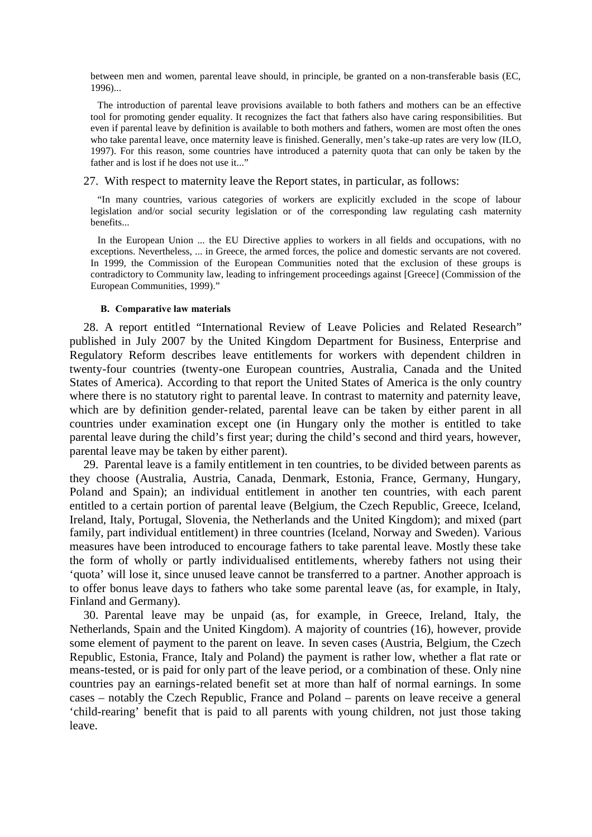between men and women, parental leave should, in principle, be granted on a non-transferable basis (EC, 1996)...

The introduction of parental leave provisions available to both fathers and mothers can be an effective tool for promoting gender equality. It recognizes the fact that fathers also have caring responsibilities. But even if parental leave by definition is available to both mothers and fathers, women are most often the ones who take parental leave, once maternity leave is finished. Generally, men's take-up rates are very low (ILO, 1997). For this reason, some countries have introduced a paternity quota that can only be taken by the father and is lost if he does not use it..."

### 27. With respect to maternity leave the Report states, in particular, as follows:

"In many countries, various categories of workers are explicitly excluded in the scope of labour legislation and/or social security legislation or of the corresponding law regulating cash maternity benefits...

In the European Union ... the EU Directive applies to workers in all fields and occupations, with no exceptions. Nevertheless, ... in Greece, the armed forces, the police and domestic servants are not covered. In 1999, the Commission of the European Communities noted that the exclusion of these groups is contradictory to Community law, leading to infringement proceedings against [Greece] (Commission of the European Communities, 1999)."

#### **B. Comparative law materials**

28. A report entitled "International Review of Leave Policies and Related Research" published in July 2007 by the United Kingdom Department for Business, Enterprise and Regulatory Reform describes leave entitlements for workers with dependent children in twenty-four countries (twenty-one European countries, Australia, Canada and the United States of America). According to that report the United States of America is the only country where there is no statutory right to parental leave. In contrast to maternity and paternity leave, which are by definition gender-related, parental leave can be taken by either parent in all countries under examination except one (in Hungary only the mother is entitled to take parental leave during the child's first year; during the child's second and third years, however, parental leave may be taken by either parent).

29. Parental leave is a family entitlement in ten countries, to be divided between parents as they choose (Australia, Austria, Canada, Denmark, Estonia, France, Germany, Hungary, Poland and Spain); an individual entitlement in another ten countries, with each parent entitled to a certain portion of parental leave (Belgium, the Czech Republic, Greece, Iceland, Ireland, Italy, Portugal, Slovenia, the Netherlands and the United Kingdom); and mixed (part family, part individual entitlement) in three countries (Iceland, Norway and Sweden). Various measures have been introduced to encourage fathers to take parental leave. Mostly these take the form of wholly or partly individualised entitlements, whereby fathers not using their 'quota' will lose it, since unused leave cannot be transferred to a partner. Another approach is to offer bonus leave days to fathers who take some parental leave (as, for example, in Italy, Finland and Germany).

30. Parental leave may be unpaid (as, for example, in Greece, Ireland, Italy, the Netherlands, Spain and the United Kingdom). A majority of countries (16), however, provide some element of payment to the parent on leave. In seven cases (Austria, Belgium, the Czech Republic, Estonia, France, Italy and Poland) the payment is rather low, whether a flat rate or means-tested, or is paid for only part of the leave period, or a combination of these. Only nine countries pay an earnings-related benefit set at more than half of normal earnings. In some cases – notably the Czech Republic, France and Poland – parents on leave receive a general 'child-rearing' benefit that is paid to all parents with young children, not just those taking leave.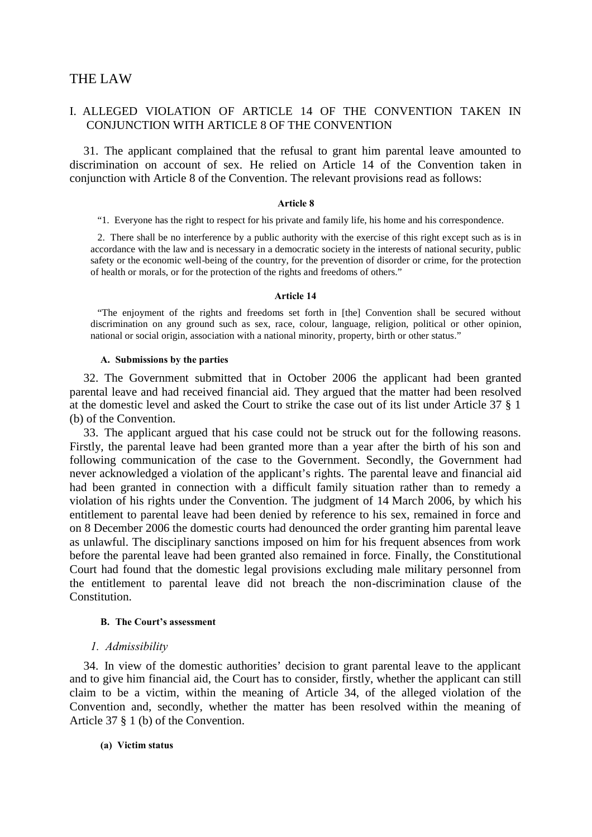## THE LAW

### I. ALLEGED VIOLATION OF ARTICLE 14 OF THE CONVENTION TAKEN IN CONJUNCTION WITH ARTICLE 8 OF THE CONVENTION

31. The applicant complained that the refusal to grant him parental leave amounted to discrimination on account of sex. He relied on Article 14 of the Convention taken in conjunction with Article 8 of the Convention. The relevant provisions read as follows:

#### **Article 8**

"1. Everyone has the right to respect for his private and family life, his home and his correspondence.

2. There shall be no interference by a public authority with the exercise of this right except such as is in accordance with the law and is necessary in a democratic society in the interests of national security, public safety or the economic well-being of the country, for the prevention of disorder or crime, for the protection of health or morals, or for the protection of the rights and freedoms of others."

#### **Article 14**

"The enjoyment of the rights and freedoms set forth in [the] Convention shall be secured without discrimination on any ground such as sex, race, colour, language, religion, political or other opinion, national or social origin, association with a national minority, property, birth or other status."

#### **A. Submissions by the parties**

32. The Government submitted that in October 2006 the applicant had been granted parental leave and had received financial aid. They argued that the matter had been resolved at the domestic level and asked the Court to strike the case out of its list under Article 37 § 1 (b) of the Convention.

33. The applicant argued that his case could not be struck out for the following reasons. Firstly, the parental leave had been granted more than a year after the birth of his son and following communication of the case to the Government. Secondly, the Government had never acknowledged a violation of the applicant's rights. The parental leave and financial aid had been granted in connection with a difficult family situation rather than to remedy a violation of his rights under the Convention. The judgment of 14 March 2006, by which his entitlement to parental leave had been denied by reference to his sex, remained in force and on 8 December 2006 the domestic courts had denounced the order granting him parental leave as unlawful. The disciplinary sanctions imposed on him for his frequent absences from work before the parental leave had been granted also remained in force. Finally, the Constitutional Court had found that the domestic legal provisions excluding male military personnel from the entitlement to parental leave did not breach the non-discrimination clause of the Constitution.

#### **B. The Court's assessment**

### *1. Admissibility*

34. In view of the domestic authorities' decision to grant parental leave to the applicant and to give him financial aid, the Court has to consider, firstly, whether the applicant can still claim to be a victim, within the meaning of Article 34, of the alleged violation of the Convention and, secondly, whether the matter has been resolved within the meaning of Article 37 § 1 (b) of the Convention.

#### **(a) Victim status**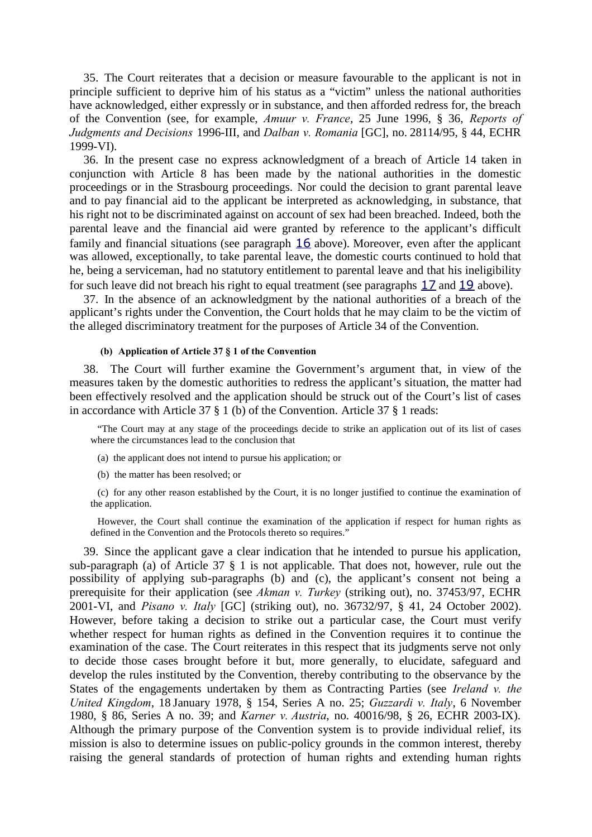35. The Court reiterates that a decision or measure favourable to the applicant is not in principle sufficient to deprive him of his status as a "victim" unless the national authorities have acknowledged, either expressly or in substance, and then afforded redress for, the breach of the Convention (see, for example, *Amuur v. France*, 25 June 1996, § 36, *Reports of Judgments and Decisions* 1996-III, and *Dalban v. Romania* [GC], no. 28114/95, § 44, ECHR 1999-VI).

36. In the present case no express acknowledgment of a breach of Article 14 taken in conjunction with Article 8 has been made by the national authorities in the domestic proceedings or in the Strasbourg proceedings. Nor could the decision to grant parental leave and to pay financial aid to the applicant be interpreted as acknowledging, in substance, that his right not to be discriminated against on account of sex had been breached. Indeed, both the parental leave and the financial aid were granted by reference to the applicant's difficult family and financial situations (see paragraph 16 above). Moreover, even after the applicant was allowed, exceptionally, to take parental leave, the domestic courts continued to hold that he, being a serviceman, had no statutory entitlement to parental leave and that his ineligibility for such leave did not breach his right to equal treatment (see paragraphs 17 and 19 above).

37. In the absence of an acknowledgment by the national authorities of a breach of the applicant's rights under the Convention, the Court holds that he may claim to be the victim of the alleged discriminatory treatment for the purposes of Article 34 of the Convention.

### **(b) Application of Article 37 § 1 of the Convention**

38. The Court will further examine the Government's argument that, in view of the measures taken by the domestic authorities to redress the applicant's situation, the matter had been effectively resolved and the application should be struck out of the Court's list of cases in accordance with Article 37 § 1 (b) of the Convention. Article 37 § 1 reads:

"The Court may at any stage of the proceedings decide to strike an application out of its list of cases where the circumstances lead to the conclusion that

- (a) the applicant does not intend to pursue his application; or
- (b) the matter has been resolved; or

(c) for any other reason established by the Court, it is no longer justified to continue the examination of the application.

However, the Court shall continue the examination of the application if respect for human rights as defined in the Convention and the Protocols thereto so requires."

39. Since the applicant gave a clear indication that he intended to pursue his application, sub-paragraph (a) of Article 37 § 1 is not applicable. That does not, however, rule out the possibility of applying sub-paragraphs (b) and (c), the applicant's consent not being a prerequisite for their application (see *Akman v. Turkey* (striking out), no. 37453/97, ECHR 2001-VI, and *Pisano v. Italy* [GC] (striking out), no. 36732/97, § 41, 24 October 2002). However, before taking a decision to strike out a particular case, the Court must verify whether respect for human rights as defined in the Convention requires it to continue the examination of the case. The Court reiterates in this respect that its judgments serve not only to decide those cases brought before it but, more generally, to elucidate, safeguard and develop the rules instituted by the Convention, thereby contributing to the observance by the States of the engagements undertaken by them as Contracting Parties (see *Ireland v. the United Kingdom*, 18 January 1978, § 154, Series A no. 25; *Guzzardi v. Italy*, 6 November 1980, § 86, Series A no. 39; and *Karner v. Austria*, no. 40016/98, § 26, ECHR 2003-IX). Although the primary purpose of the Convention system is to provide individual relief, its mission is also to determine issues on public-policy grounds in the common interest, thereby raising the general standards of protection of human rights and extending human rights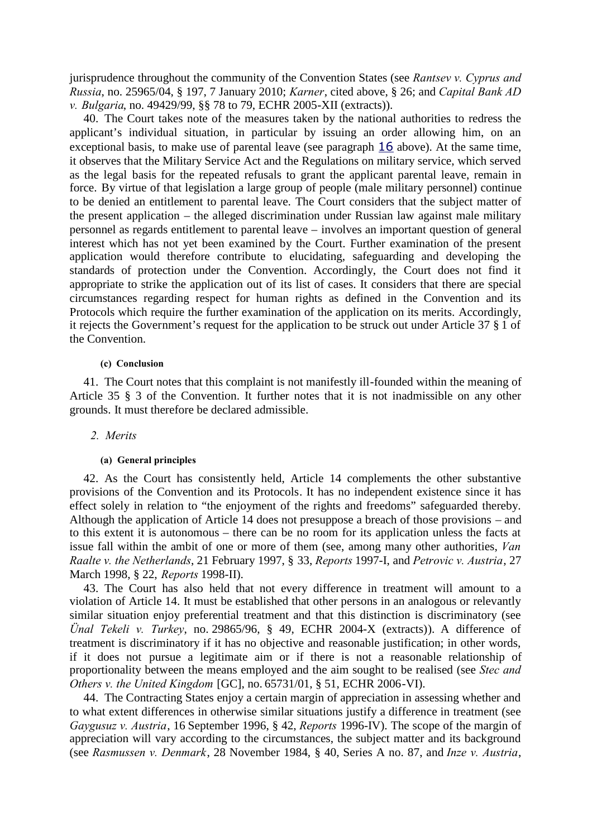jurisprudence throughout the community of the Convention States (see *Rantsev v. Cyprus and Russia*, no. 25965/04, § 197, 7 January 2010; *Karner*, cited above, § 26; and *Capital Bank AD v. Bulgaria*, no. 49429/99, §§ 78 to 79, ECHR 2005-XII (extracts)).

40. The Court takes note of the measures taken by the national authorities to redress the applicant's individual situation, in particular by issuing an order allowing him, on an exceptional basis, to make use of parental leave (see paragraph 16 above). At the same time, it observes that the Military Service Act and the Regulations on military service, which served as the legal basis for the repeated refusals to grant the applicant parental leave, remain in force. By virtue of that legislation a large group of people (male military personnel) continue to be denied an entitlement to parental leave. The Court considers that the subject matter of the present application – the alleged discrimination under Russian law against male military personnel as regards entitlement to parental leave – involves an important question of general interest which has not yet been examined by the Court. Further examination of the present application would therefore contribute to elucidating, safeguarding and developing the standards of protection under the Convention. Accordingly, the Court does not find it appropriate to strike the application out of its list of cases. It considers that there are special circumstances regarding respect for human rights as defined in the Convention and its Protocols which require the further examination of the application on its merits. Accordingly, it rejects the Government's request for the application to be struck out under Article 37 § 1 of the Convention.

### **(c) Conclusion**

41. The Court notes that this complaint is not manifestly ill-founded within the meaning of Article 35 § 3 of the Convention. It further notes that it is not inadmissible on any other grounds. It must therefore be declared admissible.

### *2. Merits*

#### **(a) General principles**

42. As the Court has consistently held, Article 14 complements the other substantive provisions of the Convention and its Protocols. It has no independent existence since it has effect solely in relation to "the enjoyment of the rights and freedoms" safeguarded thereby. Although the application of Article 14 does not presuppose a breach of those provisions – and to this extent it is autonomous – there can be no room for its application unless the facts at issue fall within the ambit of one or more of them (see, among many other authorities, *Van Raalte v. the Netherlands*, 21 February 1997, § 33, *Reports* 1997-I, and *Petrovic v. Austria*, 27 March 1998, § 22, *Reports* 1998-II).

43. The Court has also held that not every difference in treatment will amount to a violation of Article 14. It must be established that other persons in an analogous or relevantly similar situation enjoy preferential treatment and that this distinction is discriminatory (see *Ünal Tekeli v. Turkey*, no. 29865/96, § 49, ECHR 2004-X (extracts)). A difference of treatment is discriminatory if it has no objective and reasonable justification; in other words, if it does not pursue a legitimate aim or if there is not a reasonable relationship of proportionality between the means employed and the aim sought to be realised (see *Stec and Others v. the United Kingdom* [GC], no. 65731/01, § 51, ECHR 2006-VI).

44. The Contracting States enjoy a certain margin of appreciation in assessing whether and to what extent differences in otherwise similar situations justify a difference in treatment (see *Gaygusuz v. Austria*, 16 September 1996, § 42, *Reports* 1996-IV). The scope of the margin of appreciation will vary according to the circumstances, the subject matter and its background (see *Rasmussen v. Denmark*, 28 November 1984, § 40, Series A no. 87, and *Inze v. Austria*,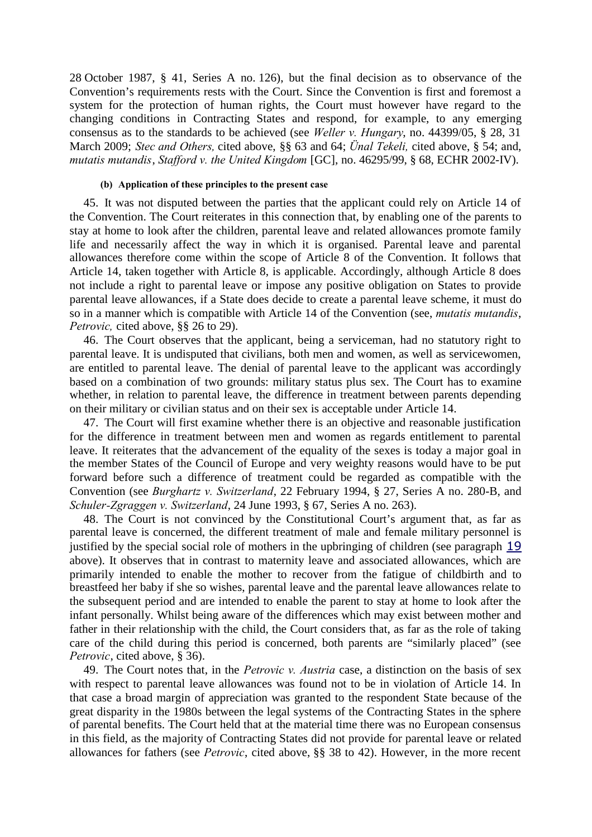28 October 1987, § 41, Series A no. 126), but the final decision as to observance of the Convention's requirements rests with the Court. Since the Convention is first and foremost a system for the protection of human rights, the Court must however have regard to the changing conditions in Contracting States and respond, for example, to any emerging consensus as to the standards to be achieved (see *Weller v. Hungary*, no. 44399/05, § 28, 31 March 2009; *Stec and Others,* cited above, §§ 63 and 64; *Ünal Tekeli,* cited above, § 54; and, *mutatis mutandis*, *Stafford v. the United Kingdom* [GC], no. 46295/99, § 68, ECHR 2002-IV).

### **(b) Application of these principles to the present case**

45. It was not disputed between the parties that the applicant could rely on Article 14 of the Convention. The Court reiterates in this connection that, by enabling one of the parents to stay at home to look after the children, parental leave and related allowances promote family life and necessarily affect the way in which it is organised. Parental leave and parental allowances therefore come within the scope of Article 8 of the Convention. It follows that Article 14, taken together with Article 8, is applicable. Accordingly, although Article 8 does not include a right to parental leave or impose any positive obligation on States to provide parental leave allowances, if a State does decide to create a parental leave scheme, it must do so in a manner which is compatible with Article 14 of the Convention (see, *mutatis mutandis*, *Petrovic,* cited above, §§ 26 to 29).

46. The Court observes that the applicant, being a serviceman, had no statutory right to parental leave. It is undisputed that civilians, both men and women, as well as servicewomen, are entitled to parental leave. The denial of parental leave to the applicant was accordingly based on a combination of two grounds: military status plus sex. The Court has to examine whether, in relation to parental leave, the difference in treatment between parents depending on their military or civilian status and on their sex is acceptable under Article 14.

47. The Court will first examine whether there is an objective and reasonable justification for the difference in treatment between men and women as regards entitlement to parental leave. It reiterates that the advancement of the equality of the sexes is today a major goal in the member States of the Council of Europe and very weighty reasons would have to be put forward before such a difference of treatment could be regarded as compatible with the Convention (see *Burghartz v. Switzerland*, 22 February 1994, § 27, Series A no. 280-B, and *Schuler-Zgraggen v. Switzerland*, 24 June 1993, § 67, Series A no. 263).

48. The Court is not convinced by the Constitutional Court's argument that, as far as parental leave is concerned, the different treatment of male and female military personnel is justified by the special social role of mothers in the upbringing of children (see paragraph  $\frac{19}{2}$ ) above). It observes that in contrast to maternity leave and associated allowances, which are primarily intended to enable the mother to recover from the fatigue of childbirth and to breastfeed her baby if she so wishes, parental leave and the parental leave allowances relate to the subsequent period and are intended to enable the parent to stay at home to look after the infant personally. Whilst being aware of the differences which may exist between mother and father in their relationship with the child, the Court considers that, as far as the role of taking care of the child during this period is concerned, both parents are "similarly placed" (see *Petrovic*, cited above, § 36).

49. The Court notes that, in the *Petrovic v. Austria* case, a distinction on the basis of sex with respect to parental leave allowances was found not to be in violation of Article 14. In that case a broad margin of appreciation was granted to the respondent State because of the great disparity in the 1980s between the legal systems of the Contracting States in the sphere of parental benefits. The Court held that at the material time there was no European consensus in this field, as the majority of Contracting States did not provide for parental leave or related allowances for fathers (see *Petrovic*, cited above, §§ 38 to 42). However, in the more recent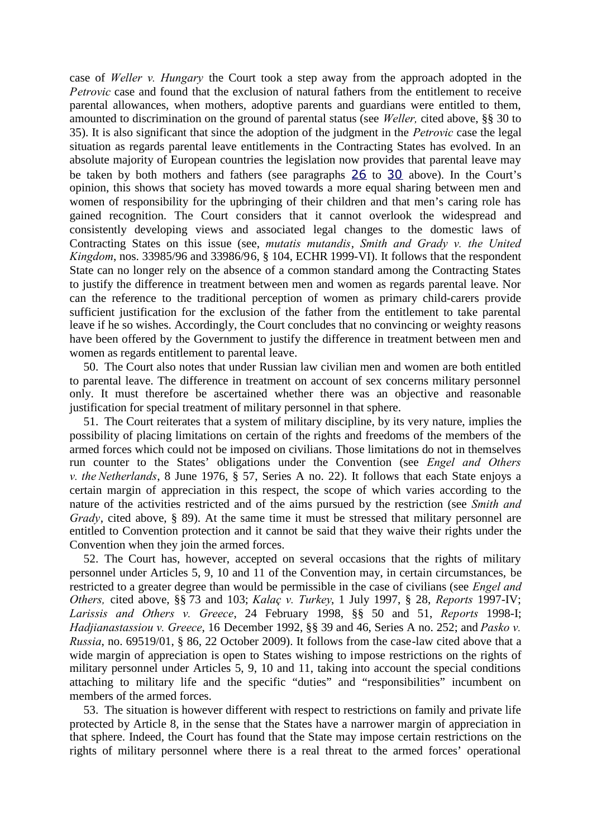case of *Weller v. Hungary* the Court took a step away from the approach adopted in the *Petrovic* case and found that the exclusion of natural fathers from the entitlement to receive parental allowances, when mothers, adoptive parents and guardians were entitled to them, amounted to discrimination on the ground of parental status (see *Weller,* cited above, §§ 30 to 35). It is also significant that since the adoption of the judgment in the *Petrovic* case the legal situation as regards parental leave entitlements in the Contracting States has evolved. In an absolute majority of European countries the legislation now provides that parental leave may be taken by both mothers and fathers (see paragraphs 26 to 30 above). In the Court's opinion, this shows that society has moved towards a more equal sharing between men and women of responsibility for the upbringing of their children and that men's caring role has gained recognition. The Court considers that it cannot overlook the widespread and consistently developing views and associated legal changes to the domestic laws of Contracting States on this issue (see, *mutatis mutandis*, *Smith and Grady v. the United Kingdom*, nos. 33985/96 and 33986/96, § 104, ECHR 1999-VI). It follows that the respondent State can no longer rely on the absence of a common standard among the Contracting States to justify the difference in treatment between men and women as regards parental leave. Nor can the reference to the traditional perception of women as primary child-carers provide sufficient justification for the exclusion of the father from the entitlement to take parental leave if he so wishes. Accordingly, the Court concludes that no convincing or weighty reasons have been offered by the Government to justify the difference in treatment between men and women as regards entitlement to parental leave.

50. The Court also notes that under Russian law civilian men and women are both entitled to parental leave. The difference in treatment on account of sex concerns military personnel only. It must therefore be ascertained whether there was an objective and reasonable justification for special treatment of military personnel in that sphere.

51. The Court reiterates that a system of military discipline, by its very nature, implies the possibility of placing limitations on certain of the rights and freedoms of the members of the armed forces which could not be imposed on civilians. Those limitations do not in themselves run counter to the States' obligations under the Convention (see *Engel and Others v. the Netherlands*, 8 June 1976, § 57, Series A no. 22). It follows that each State enjoys a certain margin of appreciation in this respect, the scope of which varies according to the nature of the activities restricted and of the aims pursued by the restriction (see *Smith and Grady*, cited above, § 89). At the same time it must be stressed that military personnel are entitled to Convention protection and it cannot be said that they waive their rights under the Convention when they join the armed forces.

52. The Court has, however, accepted on several occasions that the rights of military personnel under Articles 5, 9, 10 and 11 of the Convention may, in certain circumstances, be restricted to a greater degree than would be permissible in the case of civilians (see *Engel and Others,* cited above, §§ 73 and 103; *Kalaç v. Turkey*, 1 July 1997, § 28, *Reports* 1997-IV; *Larissis and Others v. Greece*, 24 February 1998, §§ 50 and 51, *Reports* 1998-I; *Hadjianastassiou v. Greece*, 16 December 1992, §§ 39 and 46, Series A no. 252; and *Pasko v. Russia*, no. 69519/01, § 86, 22 October 2009). It follows from the case-law cited above that a wide margin of appreciation is open to States wishing to impose restrictions on the rights of military personnel under Articles 5, 9, 10 and 11, taking into account the special conditions attaching to military life and the specific "duties" and "responsibilities" incumbent on members of the armed forces.

53. The situation is however different with respect to restrictions on family and private life protected by Article 8, in the sense that the States have a narrower margin of appreciation in that sphere. Indeed, the Court has found that the State may impose certain restrictions on the rights of military personnel where there is a real threat to the armed forces' operational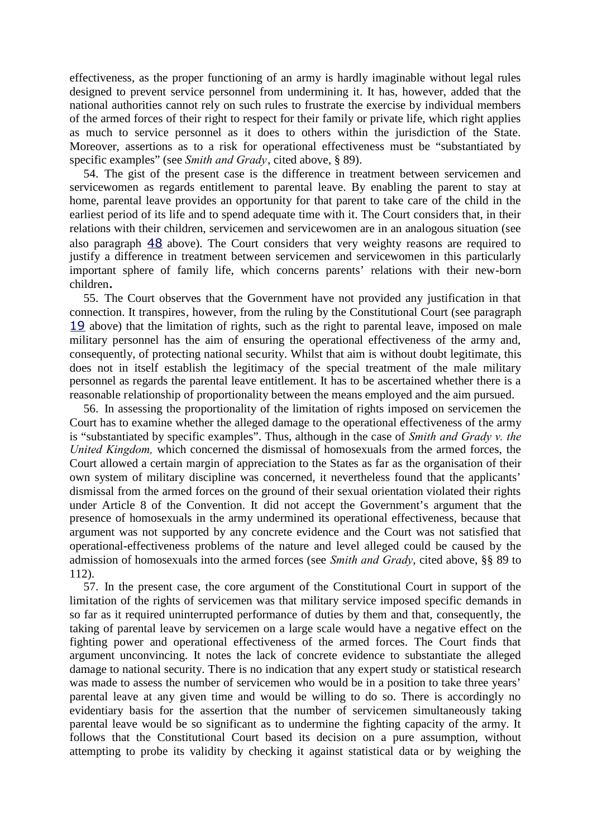effectiveness, as the proper functioning of an army is hardly imaginable without legal rules designed to prevent service personnel from undermining it. It has, however, added that the national authorities cannot rely on such rules to frustrate the exercise by individual members of the armed forces of their right to respect for their family or private life, which right applies as much to service personnel as it does to others within the jurisdiction of the State. Moreover, assertions as to a risk for operational effectiveness must be "substantiated by specific examples" (see *Smith and Grady*, cited above, § 89).

54. The gist of the present case is the difference in treatment between servicemen and servicewomen as regards entitlement to parental leave. By enabling the parent to stay at home, parental leave provides an opportunity for that parent to take care of the child in the earliest period of its life and to spend adequate time with it. The Court considers that, in their relations with their children, servicemen and servicewomen are in an analogous situation (see also paragraph 48 above). The Court considers that very weighty reasons are required to justify a difference in treatment between servicemen and servicewomen in this particularly important sphere of family life, which concerns parents' relations with their new-born children**.**

55. The Court observes that the Government have not provided any justification in that connection. It transpires, however, from the ruling by the Constitutional Court (see paragraph 19 above) that the limitation of rights, such as the right to parental leave, imposed on male military personnel has the aim of ensuring the operational effectiveness of the army and, consequently, of protecting national security. Whilst that aim is without doubt legitimate, this does not in itself establish the legitimacy of the special treatment of the male military personnel as regards the parental leave entitlement. It has to be ascertained whether there is a reasonable relationship of proportionality between the means employed and the aim pursued.

56. In assessing the proportionality of the limitation of rights imposed on servicemen the Court has to examine whether the alleged damage to the operational effectiveness of the army is "substantiated by specific examples". Thus, although in the case of *Smith and Grady v. the United Kingdom,* which concerned the dismissal of homosexuals from the armed forces, the Court allowed a certain margin of appreciation to the States as far as the organisation of their own system of military discipline was concerned, it nevertheless found that the applicants' dismissal from the armed forces on the ground of their sexual orientation violated their rights under Article 8 of the Convention. It did not accept the Government's argument that the presence of homosexuals in the army undermined its operational effectiveness, because that argument was not supported by any concrete evidence and the Court was not satisfied that operational-effectiveness problems of the nature and level alleged could be caused by the admission of homosexuals into the armed forces (see *Smith and Grady*, cited above, §§ 89 to 112).

57. In the present case, the core argument of the Constitutional Court in support of the limitation of the rights of servicemen was that military service imposed specific demands in so far as it required uninterrupted performance of duties by them and that, consequently, the taking of parental leave by servicemen on a large scale would have a negative effect on the fighting power and operational effectiveness of the armed forces. The Court finds that argument unconvincing. It notes the lack of concrete evidence to substantiate the alleged damage to national security. There is no indication that any expert study or statistical research was made to assess the number of servicemen who would be in a position to take three years' parental leave at any given time and would be willing to do so. There is accordingly no evidentiary basis for the assertion that the number of servicemen simultaneously taking parental leave would be so significant as to undermine the fighting capacity of the army. It follows that the Constitutional Court based its decision on a pure assumption, without attempting to probe its validity by checking it against statistical data or by weighing the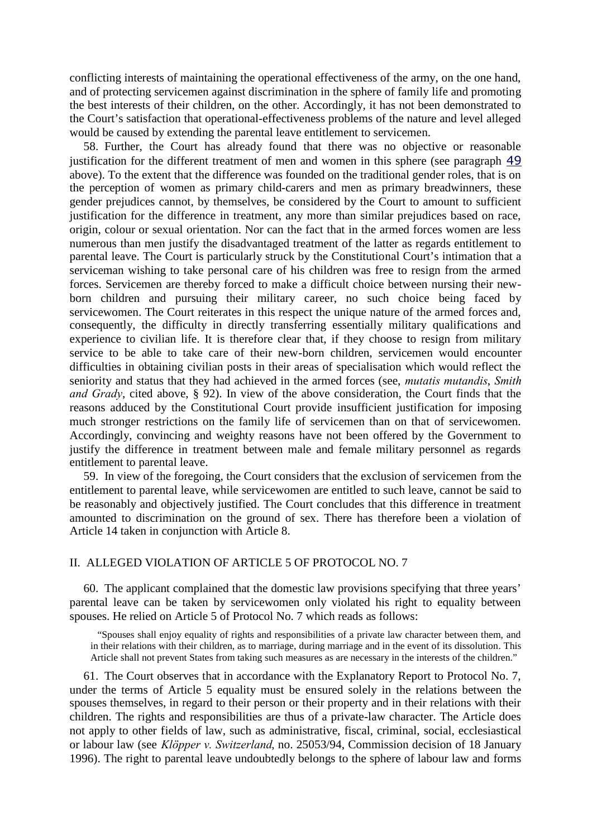conflicting interests of maintaining the operational effectiveness of the army, on the one hand, and of protecting servicemen against discrimination in the sphere of family life and promoting the best interests of their children, on the other. Accordingly, it has not been demonstrated to the Court's satisfaction that operational-effectiveness problems of the nature and level alleged would be caused by extending the parental leave entitlement to servicemen.

58. Further, the Court has already found that there was no objective or reasonable justification for the different treatment of men and women in this sphere (see paragraph 49 above). To the extent that the difference was founded on the traditional gender roles, that is on the perception of women as primary child-carers and men as primary breadwinners, these gender prejudices cannot, by themselves, be considered by the Court to amount to sufficient justification for the difference in treatment, any more than similar prejudices based on race, origin, colour or sexual orientation. Nor can the fact that in the armed forces women are less numerous than men justify the disadvantaged treatment of the latter as regards entitlement to parental leave. The Court is particularly struck by the Constitutional Court's intimation that a serviceman wishing to take personal care of his children was free to resign from the armed forces. Servicemen are thereby forced to make a difficult choice between nursing their newborn children and pursuing their military career, no such choice being faced by servicewomen. The Court reiterates in this respect the unique nature of the armed forces and, consequently, the difficulty in directly transferring essentially military qualifications and experience to civilian life. It is therefore clear that, if they choose to resign from military service to be able to take care of their new-born children, servicemen would encounter difficulties in obtaining civilian posts in their areas of specialisation which would reflect the seniority and status that they had achieved in the armed forces (see, *mutatis mutandis*, *Smith and Grady*, cited above, § 92). In view of the above consideration, the Court finds that the reasons adduced by the Constitutional Court provide insufficient justification for imposing much stronger restrictions on the family life of servicemen than on that of servicewomen. Accordingly, convincing and weighty reasons have not been offered by the Government to justify the difference in treatment between male and female military personnel as regards entitlement to parental leave.

59. In view of the foregoing, the Court considers that the exclusion of servicemen from the entitlement to parental leave, while servicewomen are entitled to such leave, cannot be said to be reasonably and objectively justified. The Court concludes that this difference in treatment amounted to discrimination on the ground of sex. There has therefore been a violation of Article 14 taken in conjunction with Article 8.

## II. ALLEGED VIOLATION OF ARTICLE 5 OF PROTOCOL NO. 7

60. The applicant complained that the domestic law provisions specifying that three years' parental leave can be taken by servicewomen only violated his right to equality between spouses. He relied on Article 5 of Protocol No. 7 which reads as follows:

"Spouses shall enjoy equality of rights and responsibilities of a private law character between them, and in their relations with their children, as to marriage, during marriage and in the event of its dissolution. This Article shall not prevent States from taking such measures as are necessary in the interests of the children."

61. The Court observes that in accordance with the Explanatory Report to Protocol No. 7, under the terms of Article 5 equality must be ensured solely in the relations between the spouses themselves, in regard to their person or their property and in their relations with their children. The rights and responsibilities are thus of a private-law character. The Article does not apply to other fields of law, such as administrative, fiscal, criminal, social, ecclesiastical or labour law (see *Klöpper v. Switzerland*, no. 25053/94, Commission decision of 18 January 1996). The right to parental leave undoubtedly belongs to the sphere of labour law and forms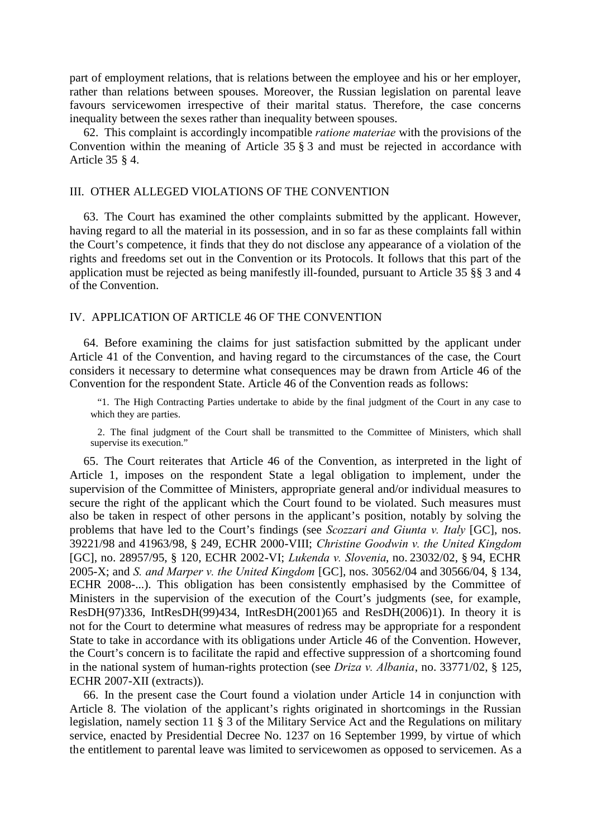part of employment relations, that is relations between the employee and his or her employer, rather than relations between spouses. Moreover, the Russian legislation on parental leave favours servicewomen irrespective of their marital status. Therefore, the case concerns inequality between the sexes rather than inequality between spouses.

62. This complaint is accordingly incompatible *ratione materiae* with the provisions of the Convention within the meaning of Article 35 § 3 and must be rejected in accordance with Article 35 § 4.

## III. OTHER ALLEGED VIOLATIONS OF THE CONVENTION

63. The Court has examined the other complaints submitted by the applicant. However, having regard to all the material in its possession, and in so far as these complaints fall within the Court's competence, it finds that they do not disclose any appearance of a violation of the rights and freedoms set out in the Convention or its Protocols. It follows that this part of the application must be rejected as being manifestly ill-founded, pursuant to Article 35 §§ 3 and 4 of the Convention.

## IV. APPLICATION OF ARTICLE 46 OF THE CONVENTION

64. Before examining the claims for just satisfaction submitted by the applicant under Article 41 of the Convention, and having regard to the circumstances of the case, the Court considers it necessary to determine what consequences may be drawn from Article 46 of the Convention for the respondent State. Article 46 of the Convention reads as follows:

"1. The High Contracting Parties undertake to abide by the final judgment of the Court in any case to which they are parties.

2. The final judgment of the Court shall be transmitted to the Committee of Ministers, which shall supervise its execution."

65. The Court reiterates that Article 46 of the Convention, as interpreted in the light of Article 1, imposes on the respondent State a legal obligation to implement, under the supervision of the Committee of Ministers, appropriate general and/or individual measures to secure the right of the applicant which the Court found to be violated. Such measures must also be taken in respect of other persons in the applicant's position, notably by solving the problems that have led to the Court's findings (see *Scozzari and Giunta v. Italy* [GC], nos. 39221/98 and 41963/98, § 249, ECHR 2000-VIII; *Christine Goodwin v. the United Kingdom* [GC], no. 28957/95, § 120, ECHR 2002-VI; *Lukenda v. Slovenia*, no. 23032/02, § 94, ECHR 2005-X; and *S. and Marper v. the United Kingdom* [GC], nos. 30562/04 and 30566/04, § 134, ECHR 2008-...). This obligation has been consistently emphasised by the Committee of Ministers in the supervision of the execution of the Court's judgments (see, for example, ResDH(97)336, IntResDH(99)434, IntResDH(2001)65 and ResDH(2006)1). In theory it is not for the Court to determine what measures of redress may be appropriate for a respondent State to take in accordance with its obligations under Article 46 of the Convention. However, the Court's concern is to facilitate the rapid and effective suppression of a shortcoming found in the national system of human-rights protection (see *Driza v. Albania*, no. 33771/02, § 125, ECHR 2007-XII (extracts)).

66. In the present case the Court found a violation under Article 14 in conjunction with Article 8. The violation of the applicant's rights originated in shortcomings in the Russian legislation, namely section 11 § 3 of the Military Service Act and the Regulations on military service, enacted by Presidential Decree No. 1237 on 16 September 1999, by virtue of which the entitlement to parental leave was limited to servicewomen as opposed to servicemen. As a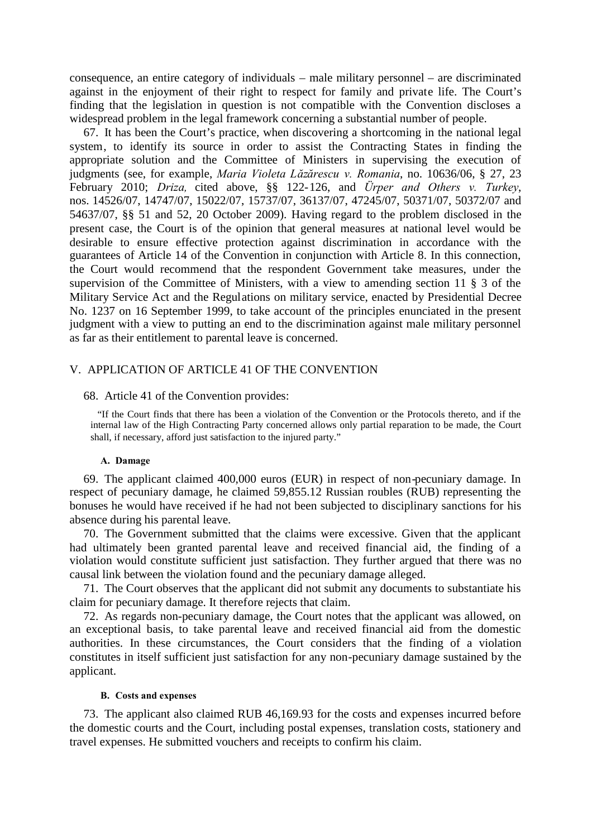consequence, an entire category of individuals – male military personnel – are discriminated against in the enjoyment of their right to respect for family and private life. The Court's finding that the legislation in question is not compatible with the Convention discloses a widespread problem in the legal framework concerning a substantial number of people.

67. It has been the Court's practice, when discovering a shortcoming in the national legal system, to identify its source in order to assist the Contracting States in finding the appropriate solution and the Committee of Ministers in supervising the execution of judgments (see, for example, *Maria Violeta Lăzărescu v. Romania*, no. 10636/06, § 27, 23 February 2010; *Driza,* cited above, §§ 122-126, and *Ürper and Others v. Turkey*, nos. 14526/07, 14747/07, 15022/07, 15737/07, 36137/07, 47245/07, 50371/07, 50372/07 and 54637/07, §§ 51 and 52, 20 October 2009). Having regard to the problem disclosed in the present case, the Court is of the opinion that general measures at national level would be desirable to ensure effective protection against discrimination in accordance with the guarantees of Article 14 of the Convention in conjunction with Article 8. In this connection, the Court would recommend that the respondent Government take measures, under the supervision of the Committee of Ministers, with a view to amending section 11 § 3 of the Military Service Act and the Regulations on military service, enacted by Presidential Decree No. 1237 on 16 September 1999, to take account of the principles enunciated in the present judgment with a view to putting an end to the discrimination against male military personnel as far as their entitlement to parental leave is concerned.

## V. APPLICATION OF ARTICLE 41 OF THE CONVENTION

#### 68. Article 41 of the Convention provides:

"If the Court finds that there has been a violation of the Convention or the Protocols thereto, and if the internal law of the High Contracting Party concerned allows only partial reparation to be made, the Court shall, if necessary, afford just satisfaction to the injured party."

#### **A. Damage**

69. The applicant claimed 400,000 euros (EUR) in respect of non-pecuniary damage. In respect of pecuniary damage, he claimed 59,855.12 Russian roubles (RUB) representing the bonuses he would have received if he had not been subjected to disciplinary sanctions for his absence during his parental leave.

70. The Government submitted that the claims were excessive. Given that the applicant had ultimately been granted parental leave and received financial aid, the finding of a violation would constitute sufficient just satisfaction. They further argued that there was no causal link between the violation found and the pecuniary damage alleged.

71. The Court observes that the applicant did not submit any documents to substantiate his claim for pecuniary damage. It therefore rejects that claim.

72. As regards non-pecuniary damage, the Court notes that the applicant was allowed, on an exceptional basis, to take parental leave and received financial aid from the domestic authorities. In these circumstances, the Court considers that the finding of a violation constitutes in itself sufficient just satisfaction for any non-pecuniary damage sustained by the applicant.

### **B. Costs and expenses**

73. The applicant also claimed RUB 46,169.93 for the costs and expenses incurred before the domestic courts and the Court, including postal expenses, translation costs, stationery and travel expenses. He submitted vouchers and receipts to confirm his claim.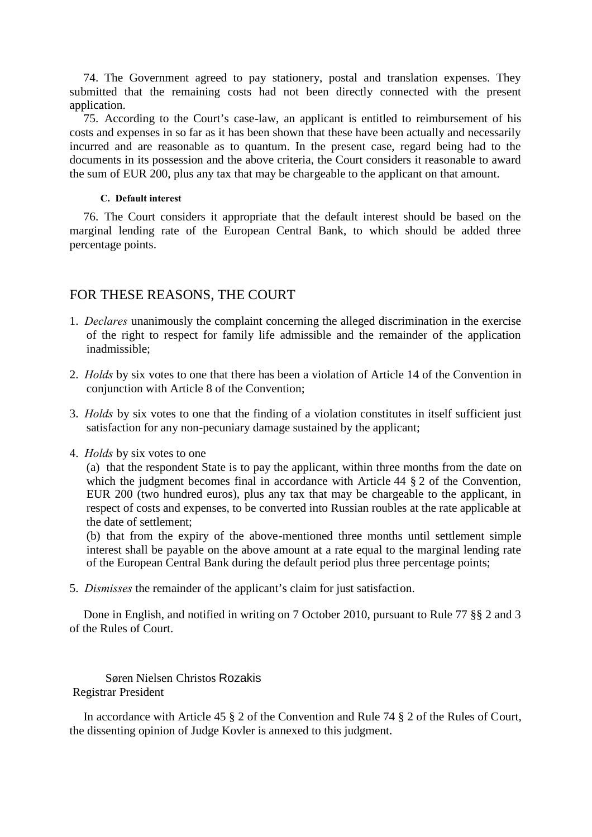74. The Government agreed to pay stationery, postal and translation expenses. They submitted that the remaining costs had not been directly connected with the present application.

75. According to the Court's case-law, an applicant is entitled to reimbursement of his costs and expenses in so far as it has been shown that these have been actually and necessarily incurred and are reasonable as to quantum. In the present case, regard being had to the documents in its possession and the above criteria, the Court considers it reasonable to award the sum of EUR 200, plus any tax that may be chargeable to the applicant on that amount.

### **C. Default interest**

76. The Court considers it appropriate that the default interest should be based on the marginal lending rate of the European Central Bank, to which should be added three percentage points.

# FOR THESE REASONS, THE COURT

- 1. *Declares* unanimously the complaint concerning the alleged discrimination in the exercise of the right to respect for family life admissible and the remainder of the application inadmissible;
- 2. *Holds* by six votes to one that there has been a violation of Article 14 of the Convention in conjunction with Article 8 of the Convention;
- 3. *Holds* by six votes to one that the finding of a violation constitutes in itself sufficient just satisfaction for any non-pecuniary damage sustained by the applicant;
- 4. *Holds* by six votes to one

(a) that the respondent State is to pay the applicant, within three months from the date on which the judgment becomes final in accordance with Article 44 § 2 of the Convention, EUR 200 (two hundred euros), plus any tax that may be chargeable to the applicant, in respect of costs and expenses, to be converted into Russian roubles at the rate applicable at the date of settlement;

(b) that from the expiry of the above-mentioned three months until settlement simple interest shall be payable on the above amount at a rate equal to the marginal lending rate of the European Central Bank during the default period plus three percentage points;

5. *Dismisses* the remainder of the applicant's claim for just satisfaction.

Done in English, and notified in writing on 7 October 2010, pursuant to Rule 77 §§ 2 and 3 of the Rules of Court.

Søren Nielsen Christos Rozakis Registrar President

In accordance with Article 45 § 2 of the Convention and Rule 74 § 2 of the Rules of Court, the dissenting opinion of Judge Kovler is annexed to this judgment.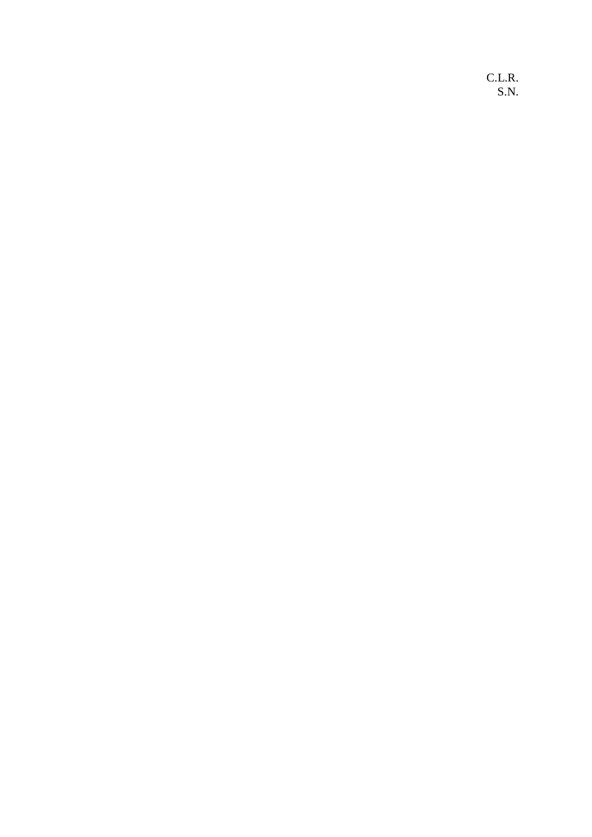C.L.R. S.N.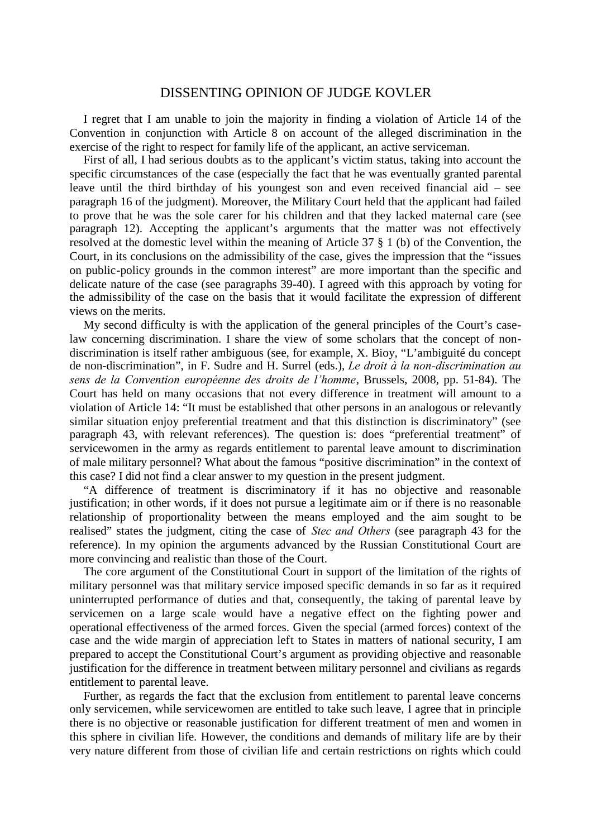## DISSENTING OPINION OF JUDGE KOVLER

I regret that I am unable to join the majority in finding a violation of Article 14 of the Convention in conjunction with Article 8 on account of the alleged discrimination in the exercise of the right to respect for family life of the applicant, an active serviceman.

First of all, I had serious doubts as to the applicant's victim status, taking into account the specific circumstances of the case (especially the fact that he was eventually granted parental leave until the third birthday of his youngest son and even received financial aid – see paragraph 16 of the judgment). Moreover, the Military Court held that the applicant had failed to prove that he was the sole carer for his children and that they lacked maternal care (see paragraph 12). Accepting the applicant's arguments that the matter was not effectively resolved at the domestic level within the meaning of Article 37 § 1 (b) of the Convention, the Court, in its conclusions on the admissibility of the case, gives the impression that the "issues on public-policy grounds in the common interest" are more important than the specific and delicate nature of the case (see paragraphs 39-40). I agreed with this approach by voting for the admissibility of the case on the basis that it would facilitate the expression of different views on the merits.

My second difficulty is with the application of the general principles of the Court's caselaw concerning discrimination. I share the view of some scholars that the concept of nondiscrimination is itself rather ambiguous (see, for example, X. Bioy, "L'ambiguité du concept de non-discrimination", in F. Sudre and H. Surrel (eds.), *Le droit à la non-discrimination au sens de la Convention européenne des droits de l'homme*, Brussels, 2008, pp. 51-84). The Court has held on many occasions that not every difference in treatment will amount to a violation of Article 14: "It must be established that other persons in an analogous or relevantly similar situation enjoy preferential treatment and that this distinction is discriminatory" (see paragraph 43, with relevant references). The question is: does "preferential treatment" of servicewomen in the army as regards entitlement to parental leave amount to discrimination of male military personnel? What about the famous "positive discrimination" in the context of this case? I did not find a clear answer to my question in the present judgment.

"A difference of treatment is discriminatory if it has no objective and reasonable justification; in other words, if it does not pursue a legitimate aim or if there is no reasonable relationship of proportionality between the means employed and the aim sought to be realised" states the judgment, citing the case of *Stec and Others* (see paragraph 43 for the reference). In my opinion the arguments advanced by the Russian Constitutional Court are more convincing and realistic than those of the Court.

The core argument of the Constitutional Court in support of the limitation of the rights of military personnel was that military service imposed specific demands in so far as it required uninterrupted performance of duties and that, consequently, the taking of parental leave by servicemen on a large scale would have a negative effect on the fighting power and operational effectiveness of the armed forces. Given the special (armed forces) context of the case and the wide margin of appreciation left to States in matters of national security, I am prepared to accept the Constitutional Court's argument as providing objective and reasonable justification for the difference in treatment between military personnel and civilians as regards entitlement to parental leave.

Further, as regards the fact that the exclusion from entitlement to parental leave concerns only servicemen, while servicewomen are entitled to take such leave, I agree that in principle there is no objective or reasonable justification for different treatment of men and women in this sphere in civilian life. However, the conditions and demands of military life are by their very nature different from those of civilian life and certain restrictions on rights which could